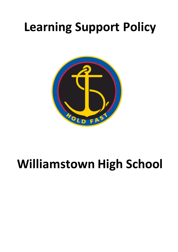# **Learning Support Policy**



# **Williamstown High School**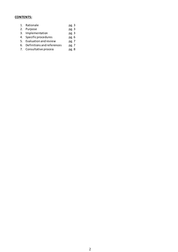# **CONTENTS:**

- 1. Rationale pg. 3<br>2. Purpose pg. 3 2. Purpose 3. Implementation pg. 3 4. Specific procedures pg. 6<br>5. Evaluation and review pg. 7 5. Evaluation and review pg. 7<br>6. Definitions and references pg. 7
- 6. Definitions and references pg. 7<br>
7. Consultative process pg. 8
- 7. Consultative process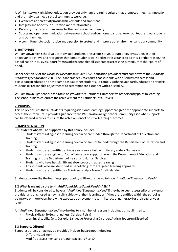A Williamstown High School education provides a dynamic learning culture that promotes integrity, innovation and the individual. As a school community we value:

- Excellence and creativity in our achievements and ambitions.
- Integrity and honesty in our actions and relationships.
- Diversity in our curriculum, in each other and in our community.
- Strong and open communication between our school and our homes, and betwe en our teachers, our students and our families.
- A commitment to social justice and a passion to protect and improve our environment and our community.

# **1. RATIONALE**

Williamstown High School values individual students. The School strives to support every student in their endeavor to achieve and recognises that some students will need extra assistance to do this. For this reason, the School has an inclusive support framework that enables all students to access the curriculum at their point of need.

Under section 32 of the *Disability Discrimination Act* 1992, education providers must comply with the *Disability Standards for Education* 2005. The Standards seek to ensure that students with disability can access and participate in education on the same basis as other students. To comply with the Standards, education providers must make 'reasonable adjustments' to accommodate a student with a disability.

Williamstown High School has a focus on growth for all students, irrespective of their entry point to learning. The school aims to celebrate the achievement of all students, at all levels.

# **2. PURPOSE**

This policy ensures that all students requiring additional learning support are given the appropriate supports to access the curriculum. It provides guidance to the Williamstown High School Community as to what supports can be offered in order to ensure the achievement of positive learning outcomes.

# **3. IMPLEMENTATION**

## **3.1 Students who will be supported by this policy include:**

- Students with a diagnosed learning need who are funded through the Department of Education and Training
- Students with a diagnosed learning need who are *not*funded through the Department of Education and Training
- Students who are identified as two years or more below in Literacy and/or Numeracy
- Students who are eligible for 'out of home care' support through the Department of Education and Training, and the Department of Health and Human Services
- Students who have had significant absences or disrupted learning
- Any students who are identified as benefitting from a targeted learning approach
- Students who are identified as Aboriginal and/or Torres Strait Islander

Students covered by the learning support policy will be considered to have '*Additional Educational Needs'.*

## **3.2 What is meant by the term** *'Additional Educational Needs'***(AEN)?**

Students will be considered to have an '*Additional Educational Need'* if they have been assessed by an external provider and diagnosed as having difficulties with their learning, or, if they are identified within the school as being two or more years below the expected achievement level in literacy or numeracy for their age or year level.

An '*Additional Educational Need'*may be due to a number of reasons including, but not limited to:

- Physical disability (e.g. blindness, Cerebral Palsy)
- Learning disability (e.g. Dyslexia, Language Processing Disorder, Autism Spectrum Disorder)

# **3.3 Supports Offered**

Support strategies that may be provided include, but are not limited to:

- Differentiated work
- Modified assessment and programs at years 7 to 10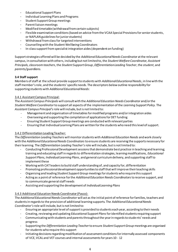- Educational Support Plans
- Individual Learning Plans and Programs
- Student Support Group meetings
- Parent liaison meetings
- Modified timetable (withdrawal from certain subjects)
- Flexible examination conditions (based on advice from the VCAA Special Provisions for senior students, or NAPLAN guidelines for junior students)
- Withdrawal from class for targeted interventions
- Counselling with the Student Wellbeing Coordinators
- In-class support from specialist integration aides (dependent on funding)

Support strategies offered will be decided by the *Additional Educational Needs Coordinator* at the relevant campus, in consultation with others, including but not limited to, the *Student Welfare Coordinator, Assistant Principals, classroom teachers*, the *Student Support Group*, *Differentiation Leading Teacher*, the *student*, and *parents/guardians*.

# **3.4 Staff support**

Members of staff at the school provide support to students with *Additional Educational Needs*, in line with the staff member's role, and the students' specific needs. The descriptors below outline responsibility for supporting students with *Additional Educational Needs*:

## 3.4.1 Assistant Campus Principal:

The *Assistant Campus Principals* will consult with the *Additional Education Needs Coordinator* and/or the *Student Welfare Coordinator*to support all aspects of the implementation of the *Learning Support Policy.* The *Assistant Campus Principal's*role will include, but is not limited to:

- Management and organisation of timetables for modified programs and/or integration aides
- Overseeing and supporting the compilation of applications for DET funding
- Ensuring Student Support Group meetings are conducted with relevant parties
- Ensuring that Individual Learning Plans are written for the students who need this level of support.

## 3.4.2 Differentiation Leading Teacher:

The *Differentiation Leading Teachers* will monitor students with *Additional Education Needs* and work closely with the *Additional Educational Needs Coordinators* to ensure students are receiving the supports necessary for their learning. The *Differentiation Leading Teacher's*role will include, but is not limited to:

- Conducting Professional Development sessions that demonstrate best practice in teaching and learning; training and educating staff in regards to differentiation strategies, learning modifications, *Educational Support Plans, Individual Learning Plans*, and general curriculum delivery, and supporting staffto implement these
- Working with CAT leaders to build staff understanding of, and capacity for, differentiation
- Promoting professional development opportunities to staff that will improve their teaching skills
- Organising and leading *Student Support Group* meetings for students who require this support
- Acting as a point of reference for the *Additional Education Needs Coordinators*to receive support, and to communicate general staff needs
- Assisting and supporting the development of *Individual Learning Plans*

# 3.4.3 Additional Education Needs Coordinator (Pasco):

The *Additional Educational Needs Coordinator* will act as the initial point of reference for families, teachers and students in regards to the provision of additional learning supports. The *Additional Educational Needs Coordinator's*role will include, but is not limited to:

- Ensuring an appropriate level of support is provided to students each year, according to their needs
- Creating, reviewing and updating *Educational Support Plans*for identified students requiring support
- Communicating with students and parents throughout the year in regards to students' needs and progress
- Supporting the *Differentiation Leading Teacher*to ensure *Student Support Group* meetings are organised for students who require this support
- Initiating decisions regarding modification of assessment conditions for internally assessed components of VCE, VCAL and VET courses and internal assessments for years 10 - 12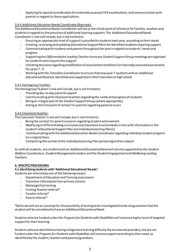- Applying for special consideration for externally assessed VCE examinations, and communication with parents in regards to these applications

# 3.4.4 Additional Education Needs Coordinator (Bayview):

The *Additional Educational Needs Coordinator*will act as the initial point of reference for families, teachers and students in regards to the provision of additional learning supports. The *Additional Educational Needs Coordinator's*role will include, but is not limited to:

- Ensuring an appropriate level of support is provided to students each year, according to their needs
- Creating, reviewing and updating *Educational Support Plans*for identified students requiring support
- Communicating with students and parents throughout the year in regards to students' needs and progress
- Supporting the *Differentiation Leading Teacher*to ensure *Student Support Group* meetings are organised for students who require this support
- Initiating decisions regarding modification of assessment conditions for internally assessed assessments for years 7 - 9
- Working with the *Transition Coordinator*to ensure that new year 7 students with an *Additional EducationalNeed* are identified and supported in their transition to high school

# 3.4.5 Homegroup Teacher:

The Homegroup Teacher's role will include, but is not limited to:

- Providing day-to-day pastoral support
- Communicating with classroom teachers regarding the needs and progress of students
- Being an integral part of the *Student Support Group* (where appropriate)
- Acting as the first point of contact for parents regarding pastoral issues

# 3.4.6 Classroom teacher:

The Classroom Teacher's role will include, but is not limited to:

- Being the contact for parent concerns regarding student achievement
- Modifying or differentiating curriculum and classroom environments in line with information in the student's *Educational Support Plan* and *Individual Learning Plan(s)*
- Communicating with the *Additional Education Needs Coordinator*regarding individual student progress on a regular basis
- Completing the section of the *Individual Learning Plan* pertaining to their subject

As with all students, any student with an *AdditionalEducational Need* will also be supported by the *Student Welfare Coordinators, Student Management Leaders* and the *Student Engagement* and *Wellbeing Leading Teachers.*

## **4. SPECIFIC PROCEDURES**

# **4.1 Identifying students with 'Additional Educational Needs':**

*S*tudents are referred by one of the following means:

- Department of Education and Training assessment
- Transition information from primary schools
- Metacognition testing
- Visiting Teacher referral\*
- Teacher referral\*
- Parent referral\*

\*Referrals will act as a prompt for the possibility of testing to be investigated but do not guarantee that the student will be considered to have an *Additional Educational Need*.

Students who are funded under the *Program for Students with Disabilities* will receive a higher level of targeted support for their learning.

Students who are identified as having a diagnosed learning difficulty (by an external provider), but are not funded under the *Program for Students with Disabilities* will receive support according to their need, as identified by the student, teachers and parents/guardians.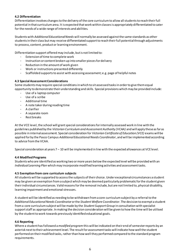## **4.2 Differentiation**

Differentiation involves changes to the delivery of the core curriculum to allow all students to reach their full potential in that curriculum area. It is expected that work within classes is appropriately differentiated to cater for the needs of a wide range of interests and abilities.

Students with *Additional Educational Needs* will normally be assessed against the same standards as other students in their class but may receive differentiated support to reach their full potential through adjustments to process, content, product or learning environment.

Differentiation support offered may include, but is not limited to:

- Extension of time to complete work
- Instruction or content broken up into smaller pieces for delivery
- Reduction in the amount of work given
- Work or instructions presented differently
- Scaffolded supports to assist with accessing assessment; e.g. page of helpful notes

#### **4.3 Special Assessment Considerations**

Some students may require special conditions in which to sit assessed tasks in order to give them equal opportunity to demonstrate their understanding and skills. Special provisions which may be provided include:

- Use of a laptop computer
- Use of a scribe
- Additional time
- A note taker during reading time
- A clarifier
- A separate room
- Rest breaks

At the VCE level, the school will grant special considerations for internally assessed work in line with the guidelines published by the *Victorian Curriculum and Assessment Authority (VCAA)* and will apply these as far as possible in internal assessment. Special consideration for *Victorian Certificate of Education (VCE)* exams willbe applied for by the Pasco Campus *Additional Educational Needs Coordinator*, and will be implemented according to advice from the VCAA.

Special consideration at years 7 – 10 will be implemented in line with the expected allowances at VCE level.

#### **4.4 Modified Programs**

Students who are identified as working two or more years below the expected level will be provided with an *Individual Learning Plan* which may incorporate modified learning activities and assessment tasks.

#### **4.5 Exemption from core curriculum subjects**

All students will be supported to access the subjects of their choice. Under exceptional circumstances a student may be given an exemption from a subject which may be deemed particularly problematic for the student given their individual circumstances. Valid reasons for the removal include, but are not limited to, physical disability, learning impairment and emotional stressors.

A student will be identified as needing to be withdrawn from a core curriculum subject by a referral to the *AdditionalEducational Needs Coordinator* or the *Student Welfare Coordinator*. The decision to exempt a student from a core curriculum subject will be made by the *Student Support Group* in consultation with specialist support staff as appropriate. In making the decision consideration will be given to how the time will be utilised by the student to work towards previously identified educational goals.

#### **4.6 Reporting**

Where a student has followed a *modified program* this will be indicated on their end of semester reports by an asterisk next to their achievement level. The result for assessment tasks will indicate how well the student performed on their modified tasks, rather than how well they performed compared to the standard program requirements.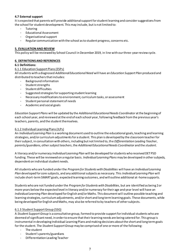# **4.7 External support**

It is expected that parents will provide additional support for student learning and consider suggestions from the school for student development. This may include, but is not limited to:

- Tutoring
- Educational Assessment
- Organisational support
- Regular communication with the school as to student progress, concerns etc.

# **5. EVALUATION AND REVIEW**

This policy will be reviewed by School Council in December 2019, in line with our three-year review cycle.

# **6. DEFINITIONS AND REFERENCES**

## **6.1 Definitions:**

## 6.1.1 Education Support Plans (ESPs)

All students with a diagnosed *Additional Educational Need* will have an *Education Support Plan* produced and distributed to teachers that includes:

- Background information
- Student strengths
- Student difficulties
- Suggested strategies for supporting student learning
- Necessary modifications to environment, curriculum tasks, or assessment
- Student personal statement of needs
- Academic and social goals

*Education Support Plans* will be updated by the *Additional Educational Needs Coordinator* at the beginning of each school year, and reviewed at the end of each school year, following feedback from the previous year's teachers, parents, and the student themselves.

## 6.1.2 Individual Learning Plans (ILPs)

An *Individual Learning Plan* is a working document used to outline the educational goals, teaching and learning strategies, and/or curriculum adjustments for a student. This plan is developed by the classroom teacher for their subject, in consultation with others, including but not limited to, the *Differentiation Leading Teacher*, *parents/guardians*, other *subject teachers*, the *Additional Educational Needs Coordinator* and the *student*.

A literacy and/or numeracy *Individual Learning Plan* will be developed for students who received DET PSD funding. These will be reviewed on a regular basis. *Individual Learning Plans* may be developed in other subjects, dependent on individual student needs.

All students who are funded under the *Program for Students with Disabilities* will have an *Individual Learning Plan* developed for core subjects, and any additional subjects as necessary. This *Individual Learning Plan* will include short-term SMART goals, expected learning outcomes, and will outline additional at-home supports.

Students who are not funded under the *Program for Students with Disabilities*, but are identified as being 2 or more years below the expected level in literacy and/or numeracy for their age and year level will have an *Individual Learning Plan* developed for English and/or Maths. This document will outline possible teaching and learning strategies, curriculum adjustments, and/or short and long term learning goals. These documents, while being developed for English and Maths, may also be referred to by teachers of other subjects.

## 6.1.3 Student Support Group (SSG)

A *Student Support Group* is a consultative group, formed to provide support for individual students who are deemed of significant need, in order to ensure that their learning needs are being catered for. This group is instrumental in developing Individual Learning Plans and making decisions about the short and long term goals for the student. The *Student Support Group* may be comprised of one or more of the following:

- The student
- Student's parents/guardians
- Differentiation Leading Teacher